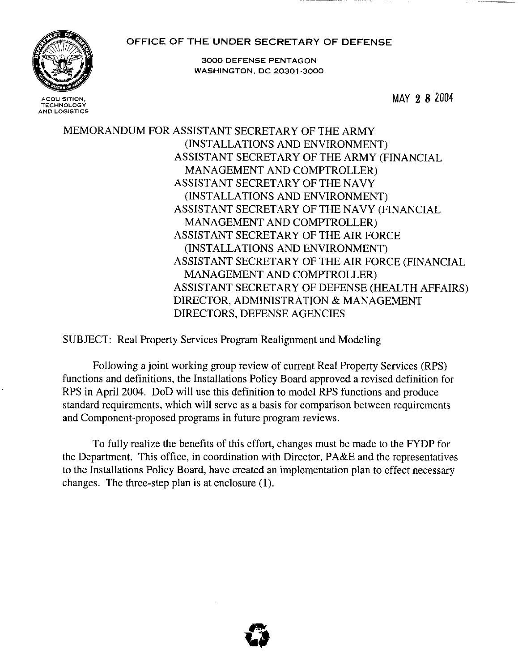#### OFFICE OF THE UNDER SECRETARY OF DEFENSE



**TECHNOLOGY AND LOGISTICS** 

3000 DEFENSE PENTAGON WASHINGTON, DC 20301·3000

MAY 28 2004

MEMORANDUM FOR ASSISTANT SECRETARY OF THE ARMY (INSTALLATIONS AND ENVIRONMENT) ASSISTANT SECRETARY OF THE ARMY (FINANCIAL MANAGEMENT AND COMPTROLLER) ASSISTANT SECRETARY OF THE NAVY (INSTALLATIONS AND ENVIRONMENT) ASSISTANT SECRETARY OF THE NAVY (FINANCIAL MANAGEMENT AND COMPTROLLER) ASSISTANT SECRETARY OF THE AIR FORCE (INSTALLATIONS AND ENVIRONMENT) ASSISTANT SECRETARY OF THE AIR FORCE (FINANCIAL MANAGEMENT AND COMPTROLLER) ASSISTANT SECRETARY OF DEFENSE (HEALTH AFFAIRS) DIRECTOR, ADMINISTRATION & MANAGEMENT DIRECTORS, DEFENSE AGENCIES

SUBJECT: Real Property Services Program Realignment and Modeling

Following a joint working group review of current Real Property Services (RPS) functions and definitions, the Installations Policy Board approved a revised definition for RPS in April 2004, DoD will use this definition to model RPS functions and produce standard requirements, which will serve as a basis for comparison between requirements and Component-proposed programs in future program reviews.

To fully realize the benefits of this effort, changes must be made to the FYDP for the Department. This office, in coordination with Director, PA&E and the representatives to the Installations Policy Board, have created an implementation plan to effect necessary changes. The three-step plan is at enclosure (1),

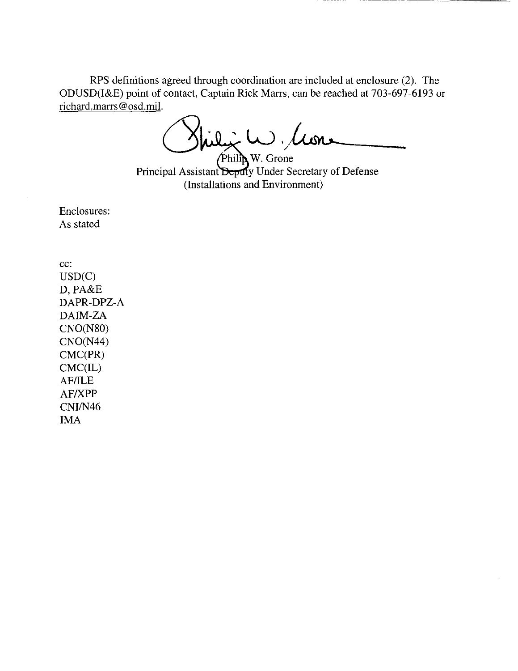RPS defmitions agreed through coordination are included at enclosure (2). The ODUSD(I&E) point of contact, Captain Rick Marrs, can be reached at 703-697-6193 or richard.marrs@osd.mil.

 $\dot{\star}$  W. Clean

Philip W. Grone Principal Assistant Deputy Under Secretary of Defense (Installations and Environment)

Enclosures: As stated

cc: USD(C) D,PA&E DAPR-DPZ-A DAIM-ZA CNO(NSO) CNO(N44) CMC(PR) CMC(IL) AF/ILE AF/XPP CNI/N46 IMA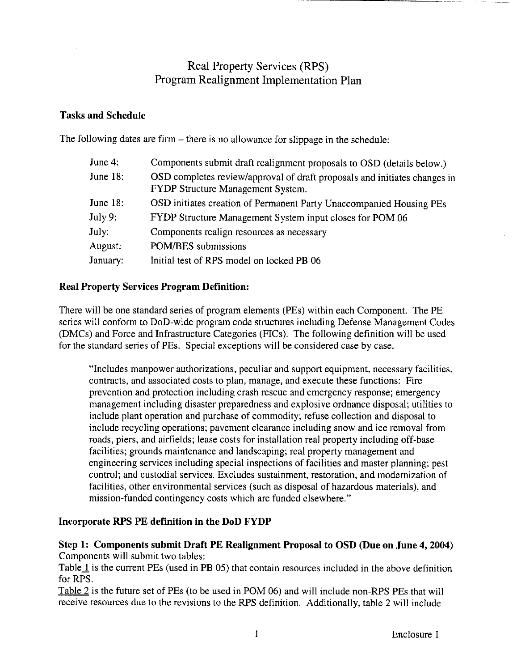## Real Property Services (RPS) Program Realignment Implementation Plan

#### Tasks and Schedule

The following dates are firm – there is no allowance for slippage in the schedule:

| June 4:     | Components submit draft realignment proposals to OSD (details below.)                                          |  |  |  |
|-------------|----------------------------------------------------------------------------------------------------------------|--|--|--|
| June $18$ : | OSD completes review/approval of draft proposals and initiates changes in<br>FYDP Structure Management System. |  |  |  |
| June $18:$  | OSD initiates creation of Permanent Party Unaccompanied Housing PEs                                            |  |  |  |
| July 9:     | FYDP Structure Management System input closes for POM 06                                                       |  |  |  |
| July:       | Components realign resources as necessary                                                                      |  |  |  |
| August:     | POM/BES submissions                                                                                            |  |  |  |
| January:    | Initial test of RPS model on locked PB 06                                                                      |  |  |  |
|             |                                                                                                                |  |  |  |

## Real Property Services Program Definition:

There will be one standard series of program elements (PEs) within each Component. The PE series will conform to DoD-wide program code structures including Defense Management Codes (DMCs) and Force and Infrastructure Categories (PICs). The following definition will be used for the standard series of PEs. Special exceptions will be considered case by case.

"Includes manpower authorizations, peculiar and support equipment, necessary facilities, contracts, and associated costs to plan, manage, and execute these functions: Fire prevention and protection including crash rescue and emergency response; emergency management including disaster preparedness and explosive ordnance disposal; utilities to include plant operation and purchase of commodity; refuse collection and disposal to include recycling operations; pavement clearance including snow and ice removal from roads, piers, and airfields; lease costs for installation real property including off-base facilities; grounds maintenance and landscaping; real property management and engineering services including special inspections of facilities and master planning; pest control; and custodial services. Excludes sustainment, restoration, and modernization of facilities, other environmental services (such as disposal of hazardous materials), and mission-funded contingency costs which are funded elsewhere."

## Incorporate RPS PE definition in the DoD FYDP

## Step 1: Components submit Draft PE Realignment Proposal to OSD (Due on June 4, 2004) Components will submit two tables:

Table 1 is the current PEs (used in PB 05) that contain resources included in the above definition for RPS.

Table 2 is the future set of PEs (to be used in POM 06) and will include non-RPS PEs that will receive resources due to the revisions to the RPS definition. Additionally, table 2 will include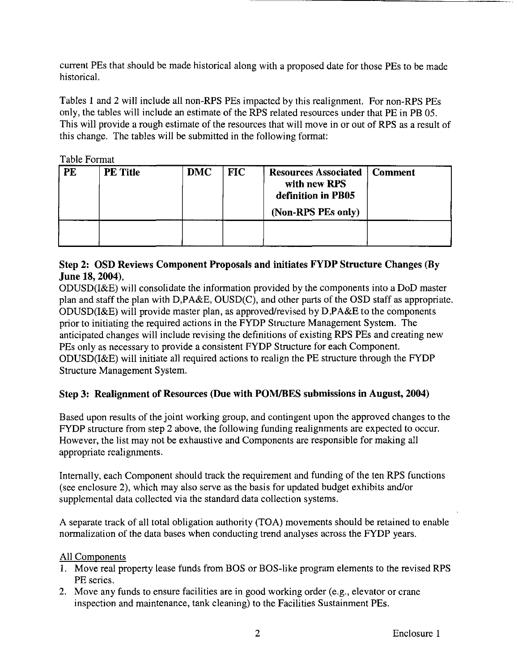current PEs that should be made historical along with a proposed date for those PEs to be made historical.

Tables 1 and 2 will include all non-RPS PEs impacted by this realignment. For non-RPS PEs only, the tables will include an estimate of the RPS related resources under that PE in PB 05. This will provide a rough estimate of the resources that will move in or out of RPS as a result of this change. The tables will be submitted in the following format:

Table Format

| <b>PE</b> | <b>PE Title</b> | <b>DMC</b> | <b>FIC</b> | <b>Resources Associated</b><br>with new RPS<br>definition in PB05<br>(Non-RPS PEs only) | <b>Comment</b> |
|-----------|-----------------|------------|------------|-----------------------------------------------------------------------------------------|----------------|
|           |                 |            |            |                                                                                         |                |

## Step 2: OSD Reviews Component Proposals and initiates FYDP Structure Changes (By June 18, 2004),

ODUSD(I&E) will consolidate the information provided by the components into a DoD master plan and staff the plan with D,PA&E, OUSD(C), and other parts of the OSD staff as appropriate. ODUSD(I&E) will provide master plan, as approved/revised by D,PA&E to the components prior to initiating the required actions in the FYDP Structure Management System. The anticipated changes will include revising the definitions of existing RPS PEs and creating new PEs only as necessary to provide a consistent FYDP Structure for each Component. ODUSD(I&E) will initiate all required actions to realign the PE structure through the FYDP Structure Management System.

## Step 3: Realignment of Resources (Due with POMIBES submissions in August, 2004)

Based upon results of the joint working group, and contingent upon the approved changes to the FYDP structure from step 2 above, the following funding realignments are expected to occur. However, the list may not be exhaustive and Components are responsible for making all appropriate realignments.

Internally, each Component should track the requirement and funding of the ten RPS functions (see enclosure 2), which may also serve as the basis for updated budget exhibits and/or supplemental data collected via the standard data collection systems.

A separate track of all total obligation authority (TOA) movements should be retained to enable normalization of the data bases when conducting trend analyses across the FYDP years.

#### All Components

- 1. Move real property lease funds from BOS or BOS-Iike program elements to the revised RPS PE series.
- 2. Move any funds to ensure facilities are in good working order (e.g., elevator or crane inspection and maintenance, tank cleaning) to the Facilities Sustainment PEs.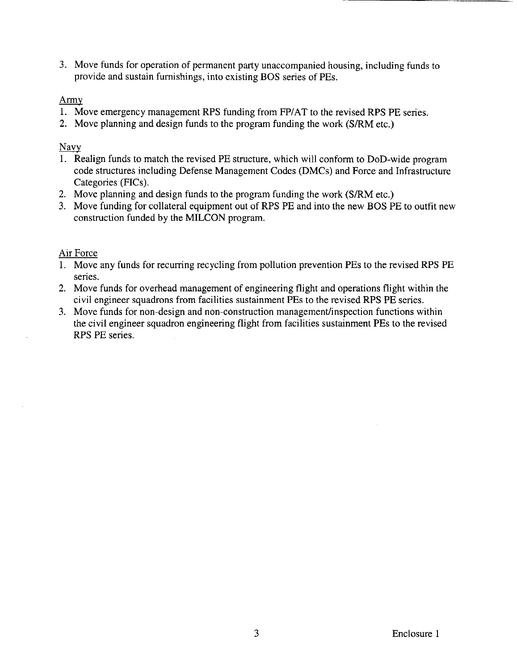3. Move funds for operation of permanent party unaccompanied housing, including funds to provide and sustain furnishings, into existing BOS series of PEs.

#### Army

- 1. Move emergency management RPS funding from FP/AT to the revised RPS PE series.
- 2. Move planning and design funds to the program funding the work (S/RM etc.)

#### Navy

- 1. Realign funds to match the revised PE structure, which will conform to DoD-wide program code structures including Defense Management Codes (DMCs) and Force and Infrastructure Categories (FICs).
- 2. Move planning and design funds to the program funding the work (S/RM etc.)
- 3. Move funding for collateral equipment out of RPS PE and into the new BOS PE to outfit new construction funded by the MILCON program.

#### Air Force

- 1. Move any funds for recurring recycling from pollution prevention PEs to the revised RPS PE series.
- 2. Move funds for overhead management of engineering flight and operations flight within the civil engineer squadrons from facilities sustainment PEs to the revised RPS PE series.
- 3. Move funds for non-design and non-construction management/inspection functions within the civil engineer squadron engineering flight from facilities sustainment PEs to the revised RPS PE series.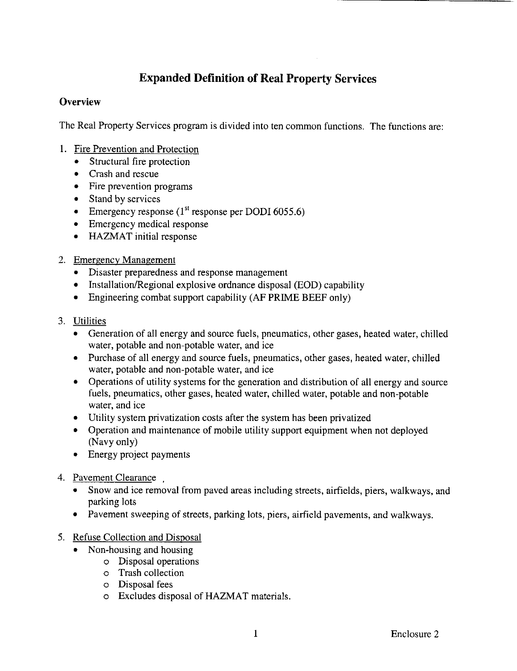# **Expanded Definition of Real Property Services**

## **Overview**

The Real Property Services program is divided into ten common functions. The functions are:

- I. Fire Prevention and Protection
	- Structural fire protection
	- Crash and rescue
	- Fire prevention programs
	- Stand by services
	- Emergency response  $(1<sup>st</sup>$  response per DODI 6055.6)
	- Emergency medical response
	- HAZMAT initial response
- 2. Emergency Management
	- Disaster preparedness and response management
	- Installation/Regional explosive ordnance disposal (EOD) capability
	- Engineering combat support capability (AF PRIME BEEF only)
- 3. Utilities
	- Generation of all energy and source fuels, pneumatics, other gases, heated water, chilled water, potable and non-potable water, and ice
	- Purchase of all energy and source fuels, pneumatics, other gases, heated water, chilled water, potable and non-potable water, and ice
	- Operations of utility systems for the generation and distribution of all energy and source fuels, pneumatics, other gases, heated water, chilled water, potable and non-potable water, and ice
	- Utility system privatization costs after the system has been privatized
	- Operation and maintenance of mobile utility support equipment when not deployed (Navy only)
	- Energy project payments
- 4. Pavement Clearance
	- Snow and ice removal from paved areas including streets, airfields, piers, walkways, and parking lots
	- Pavement sweeping of streets, parking lots, piers, airfield pavements, and walkways.
- 5. Refuse Collection and Disposal
	- Non-housing and housing
		- o Disposal operations
		- o Trash collection
		- o Disposal fees
		- o Excludes disposal ofHAZMAT materials.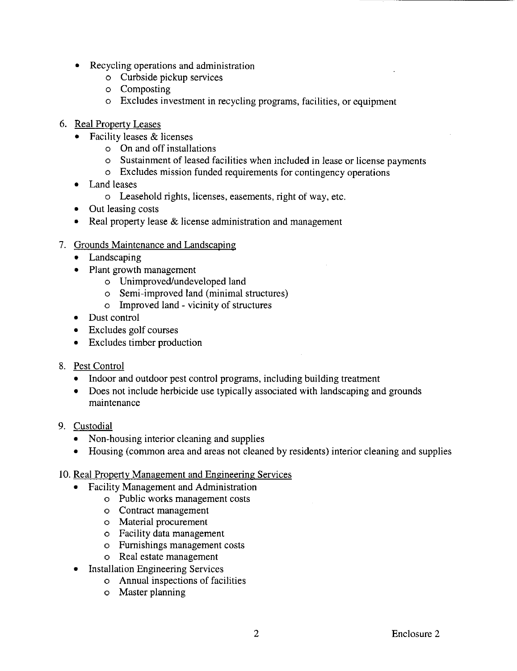- Recycling operations and administration
	- o Curbside pickup services
	- o Composting
	- o Excludes investment in recycling programs, facilities, or equipment
- 6. Real Property Leases
	- Facility leases & licenses
		- o On and off installations
		- o Sustainment of leased facilities when included in lease or license payments
		- o Excludes mission funded requirements for contingency operations
	- Land leases
		- o Leasehold rights, licenses, easements, right of way, etc.
	- Out leasing costs
	- Real property lease & license administration and management
- 7. Grounds Maintenance and Landscaping
	- **Landscaping**
	- Plant growth management
		- o Unimproved/undeveloped land
		- o Semi-improved land (minimal structures)
		- o Improved land vicinity of structures
	- Dust control
	- Excludes golf courses
	- Excludes timber production
- 8. Pest Control
	- Indoor and outdoor pest control programs, including building treatment
	- Does not include herbicide use typically associated with landscaping and grounds maintenance
- 9. Custodial
	- Non-housing interior cleaning and supplies
	- Housing (common area and areas not cleaned by residents) interior cleaning and supplies
- 10. Real Property Management and Engineering Services
	- Facility Management and Administration
		- o Public works management costs
		- o Contract management
		- o Material procurement
		- o Facility data management
		- o Furnishings management costs
		- o Real estate management
	- **Installation Engineering Services** 
		- o Annual inspections of facilities
		- o Master planning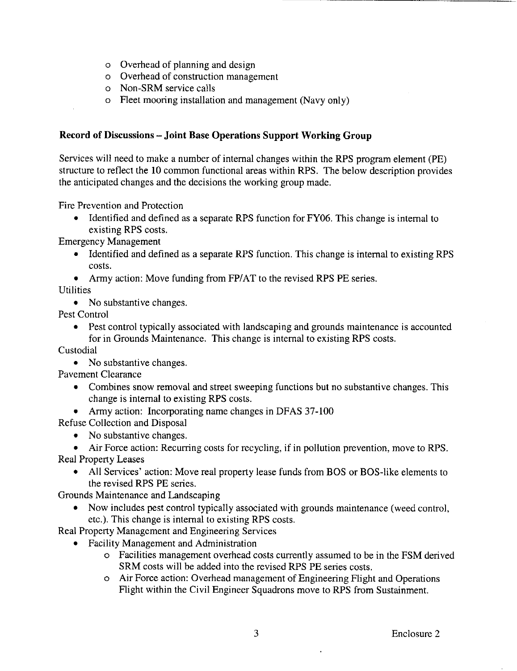- o Overhead of planning and design
- o Overhead of construction management
- o Non-SRM service calls
- o Fleet mooring installation and management (Navy only)

#### **Record of Discussions - Joint Base Operations Support Working Group**

Services will need to make a number of internal changes within the RPS program element (PE) structure to reflect the 10 common functional areas within RPS. The below description provides the anticipated changes and the decisions the working group made.

Fire Prevention and Protection

• Identified and defined as a separate RPS function for FY06. This change is internal to existing RPS costs.

Emergency Management

- Identified and defined as a separate RPS function. This change is internal to existing RPS costs.
- Army action: Move funding from FP/AT to the revised RPS PE series.

Utilities

• No substantive changes.

Pest Control

• Pest control typically associated with landscaping and grounds maintenance is accounted for in Grounds Maintenance. This change is internal to existing RPS costs.

Custodial

• No substantive changes.

Pavement Clearance

- Combines snow removal and street sweeping functions but no substantive changes. This change is internal to existing RPS costs.
- Army action: Incorporating name changes in DFAS 37-100

Refuse Collection and Disposal

• No substantive changes.

• Air Force action: Recurring costs for recycling, if in pollution prevention, move to RPS. Real Property Leases

• All Services' action: Move real property lease funds from BOS or BOS-like elements to the revised RPS PE series.

Grounds Maintenance and Landscaping

• Now includes pest control typically associated with grounds maintenance (weed control, etc.). This change is internal to existing RPS costs.

Real Property Management and Engineering Services

- Facility Management and Administration
	- o Facilities management overhead costs currently assumed to be in the FSM derived SRM costs will be added into the revised RPS PE series costs.
	- o Air Force action: Overhead management of Engineering Flight and Operations Flight within the Civil Engineer Squadrons move to RPS from Sustainment.